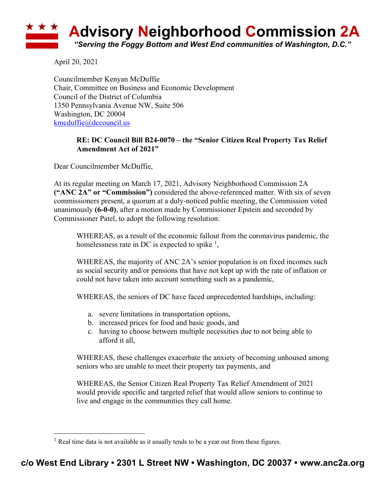## ★ ★ ★ **Advisory Neighborhood Commission 2A** *"Serving the Foggy Bottom and West End communities of Washington, D.C."*

April 20, 2021

Councilmember Kenyan McDuffie Chair, Committee on Business and Economic Development Council of the District of Columbia 1350 Pennsylvania Avenue NW, Suite 506 Washington, DC 20004 kmcduffie@dccouncil.us

## **RE: DC Council Bill B24-0070 – the "Senior Citizen Real Property Tax Relief Amendment Act of 2021"**

Dear Councilmember McDuffie,

At its regular meeting on March 17, 2021, Advisory Neighborhood Commission 2A **("ANC 2A" or "Commission")** considered the above-referenced matter. With six of seven commissioners present, a quorum at a duly-noticed public meeting, the Commission voted unanimously **(6-0-0)**, after a motion made by Commissioner Epstein and seconded by Commissioner Patel, to adopt the following resolution:

WHEREAS, as a result of the economic fallout from the coronavirus pandemic, the homelessness rate in DC is expected to spike  $\frac{1}{2}$ ,

WHEREAS, the majority of ANC 2A's senior population is on fixed incomes such as social security and/or pensions that have not kept up with the rate of inflation or could not have taken into account something such as a pandemic,

WHEREAS, the seniors of DC have faced unprecedented hardships, including:

- a. severe limitations in transportation options,
- b. increased prices for food and basic goods, and
- c. having to choose between multiple necessities due to not being able to afford it all,

WHEREAS, these challenges exacerbate the anxiety of becoming unhoused among seniors who are unable to meet their property tax payments, and

WHEREAS, the Senior Citizen Real Property Tax Relief Amendment of 2021 would provide specific and targeted relief that would allow seniors to continue to live and engage in the communities they call home.

<sup>&</sup>lt;sup>1</sup> Real time data is not available as it usually tends to be a year out from these figures.